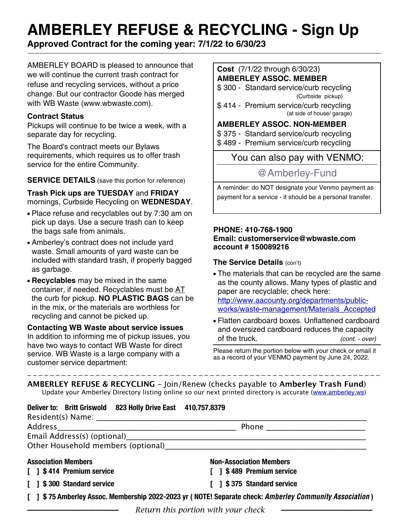# **AMBERLEY REFUSE & RECYCLING - Sign Up**

# **Approved Contract for the coming year: 7/1/22 to 6/30/23**

AMBERLEY BOARD is pleased to announce that we will continue the current trash contract for refuse and recycling services, without a price change. But our contractor Goode has merged with WB Waste (www.wbwaste.com).

## **Contract Status**

Pickups will continue to be twice a week, with a separate day for recycling.

The Board's contract meets our Bylaws requirements, which requires us to offer trash service for the entire Community.

## **SERVICE DETAILS** (save this portion for reference)

**Trash Pick ups are TUESDAY** and **FRIDAY** mornings, Curbside Recycling on **WEDNESDAY**.

- Place refuse and recyclables out by 7:30 am on pick up days. Use a secure trash can to keep the bags safe from animals.
- Amberley's contract does not include yard waste. Small amounts of yard waste can be included with standard trash, if properly bagged as garbage.
- **Recyclables** may be mixed in the same container, if needed. Recyclables must be AT the curb for pickup. **NO PLASTIC BAGS** can be in the mix, or the materials are worthless for recycling and cannot be picked up.

**Contacting WB Waste about service issues** In addition to informing me of pickup issues, you have two ways to contact WB Waste for direct service. WB Waste is a large company with a customer service department:

### **Cost** (7/1/22 through 6/30/23) **AMBERLEY ASSOC. MEMBER**

\$ 300 - Standard service/curb recycling (Curbside pickup)

\$ 414 - Premium service/curb recycling (at side of house/ garage)

## **AMBERLEY ASSOC. NON-MEMBER**

\$ 375 - Standard service/curb recycling \$ 489 - Premium service/curb recycling

# You can also pay with VENMO:

# @Amberley-Fund

A reminder: do NOT designate your Venmo payment as payment for a service - it should be a personal transfer.

## **PHONE: 410-768-1900**

#### **Email: customerservice@wbwaste.com account # 150089216**

#### **The Service Details** (con't)

- The materials that can be recycled are the same as the county allows. Many types of plastic and paper are recyclable; check here: [http://www.aacounty.org/departments/public](http://www.aacounty.org/departments/public-works/waste-management/Materials_Accepted)[works/waste-management/Materials\\_Accepted](http://www.aacounty.org/departments/public-works/waste-management/Materials_Accepted)
- Flatten cardboard boxes. Unflattened cardboard and oversized cardboard reduces the capacity of the truck. *(cont. - over)*

Please return the portion below with your check or email it as a record of your VENMO payment by June 24, 2022.

**AMBERLEY REFUSE & RECYCLING** - Join/Renew (checks payable to **Amberley Trash Fund**) Update your Amberley Directory listing online so our next printed directory is accurate ([www.amberley.ws](http://www.amberley.ws))

\_ \_ \_ \_ \_ \_ \_ \_ \_ \_ \_ \_ \_ \_ \_ \_ \_ \_ \_ \_ \_ \_ \_ \_ \_ \_ \_ \_ \_ \_ \_ \_ \_ \_ \_ \_ \_ \_ \_ \_ \_ \_ \_ \_ \_ \_ \_ \_ \_ \_ \_ \_ \_ \_ \_ \_ \_ \_ \_ \_ \_ \_

| Deliver to: Britt Griswold 823 Holly Drive East 410.757.8379 |  |                                                                                                                                                                                                                                |
|--------------------------------------------------------------|--|--------------------------------------------------------------------------------------------------------------------------------------------------------------------------------------------------------------------------------|
|                                                              |  |                                                                                                                                                                                                                                |
|                                                              |  |                                                                                                                                                                                                                                |
|                                                              |  |                                                                                                                                                                                                                                |
|                                                              |  | Other Household members (optional) [19] The Montenant Montenant Montenant Montenant Montenant Montenant Montenant Montenant Montenant Montenant Montenant Montenant Montenant Montenant Montenant Montenant Montenant Montenan |
| <b>Association Members</b>                                   |  | <b>Non-Association Members</b>                                                                                                                                                                                                 |
| [ ] \$414 Premium service                                    |  | [ ] \$489 Premium service                                                                                                                                                                                                      |
| [ ] \$300 Standard service                                   |  | [ ] \$375 Standard service                                                                                                                                                                                                     |
|                                                              |  | [ ] \$75 Amberley Assoc. Membership 2022-2023 yr (NOTE! Separate check: Amberley Community Association)                                                                                                                        |
|                                                              |  | Return this portion with your check                                                                                                                                                                                            |